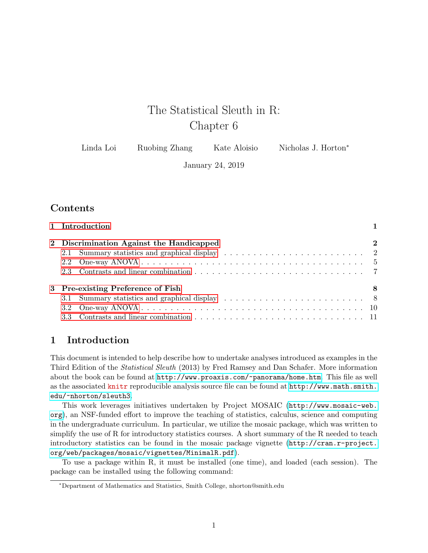# The Statistical Sleuth in R: Chapter 6

| Linda Loi | Ruobing Zhang | Kate Aloisio | Nicholas J. Horton <sup>*</sup> |
|-----------|---------------|--------------|---------------------------------|
|-----------|---------------|--------------|---------------------------------|

January 24, 2019

# **Contents**

|  | 1 Introduction                           |             |
|--|------------------------------------------|-------------|
|  | 2 Discrimination Against the Handicapped | $\mathbf 2$ |
|  |                                          |             |
|  |                                          |             |
|  |                                          |             |
|  | 3 Pre-existing Preference of Fish        | -8          |
|  |                                          |             |
|  |                                          |             |
|  |                                          |             |

# <span id="page-0-0"></span>1 Introduction

This document is intended to help describe how to undertake analyses introduced as examples in the Third Edition of the Statistical Sleuth (2013) by Fred Ramsey and Dan Schafer. More information about the book can be found at <http://www.proaxis.com/~panorama/home.htm>. This file as well as the associated knitr reproducible analysis source file can be found at [http://www.math.smith.](http://www.math.smith.edu/~nhorton/sleuth3) [edu/~nhorton/sleuth3](http://www.math.smith.edu/~nhorton/sleuth3).

This work leverages initiatives undertaken by Project MOSAIC ([http://www.mosaic-web.](http://www.mosaic-web.org) [org](http://www.mosaic-web.org)), an NSF-funded effort to improve the teaching of statistics, calculus, science and computing in the undergraduate curriculum. In particular, we utilize the mosaic package, which was written to simplify the use of R for introductory statistics courses. A short summary of the R needed to teach introductory statistics can be found in the mosaic package vignette ([http://cran.r-project.](http://cran.r-project.org/web/packages/mosaic/vignettes/MinimalR.pdf) [org/web/packages/mosaic/vignettes/MinimalR.pdf](http://cran.r-project.org/web/packages/mosaic/vignettes/MinimalR.pdf)).

To use a package within R, it must be installed (one time), and loaded (each session). The package can be installed using the following command:

<sup>∗</sup>Department of Mathematics and Statistics, Smith College, nhorton@smith.edu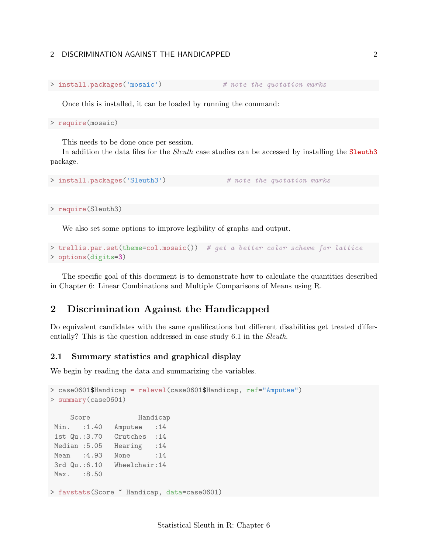## 2 DISCRIMINATION AGAINST THE HANDICAPPED 2

```
> install.packages('mosaic') # note the quotation marks
```
Once this is installed, it can be loaded by running the command:

> require(mosaic)

This needs to be done once per session.

In addition the data files for the *Sleuth* case studies can be accessed by installing the **Sleuth3** package.

```
> install.packages('Sleuth3') # note the quotation marks
```
> require(Sleuth3)

We also set some options to improve legibility of graphs and output.

```
> trellis.par.set(theme=col.mosaic()) # get a better color scheme for lattice
> options(digits=3)
```
The specific goal of this document is to demonstrate how to calculate the quantities described in Chapter 6: Linear Combinations and Multiple Comparisons of Means using R.

# <span id="page-1-0"></span>2 Discrimination Against the Handicapped

Do equivalent candidates with the same qualifications but different disabilities get treated differentially? This is the question addressed in case study 6.1 in the *Sleuth*.

#### <span id="page-1-1"></span>2.1 Summary statistics and graphical display

We begin by reading the data and summarizing the variables.

```
> case0601$Handicap = relevel(case0601$Handicap, ref="Amputee")
> summary(case0601)
    Score Handicap
Min. :1.40 Amputee :14
1st Qu.:3.70 Crutches :14
Median :5.05 Hearing :14
Mean : 4.93 None : 14
3rd Qu.:6.10 Wheelchair:14
Max. : 8.50
> favstats(Score ~ Handicap, data=case0601)
```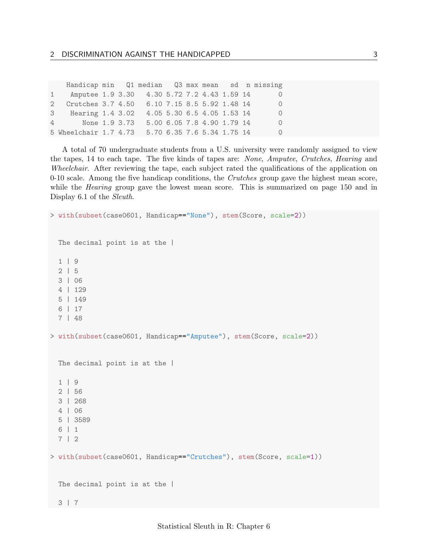|   | Handicap min Q1 median Q3 max mean sd n missing |  |                            |  |                            |  |          |
|---|-------------------------------------------------|--|----------------------------|--|----------------------------|--|----------|
| 1 | Amputee 1.9 3.30 4.30 5.72 7.2 4.43 1.59 14     |  |                            |  |                            |  | $\Omega$ |
|   | 2 Crutches 3.7 4.50 6.10 7.15 8.5 5.92 1.48 14  |  |                            |  |                            |  | $\Omega$ |
|   | Hearing $1.4$ 3.02<br>3                         |  | 4.05 5.30 6.5 4.05 1.53 14 |  |                            |  | $\Omega$ |
|   | None 1.9 3.73<br>$\overline{4}$                 |  |                            |  | 5.00 6.05 7.8 4.90 1.79 14 |  | $\Omega$ |
|   | 5 Wheelchair 1.7 4.73                           |  | 5.70 6.35 7.6 5.34 1.75 14 |  |                            |  | $\Omega$ |

A total of 70 undergraduate students from a U.S. university were randomly assigned to view the tapes, 14 to each tape. The five kinds of tapes are: None, Amputee, Crutches, Hearing and Wheelchair. After reviewing the tape, each subject rated the qualifications of the application on  $0-10$  scale. Among the five handicap conditions, the *Crutches* group gave the highest mean score, while the *Hearing* group gave the lowest mean score. This is summarized on page 150 and in Display 6.1 of the Sleuth.

```
> with(subset(case0601, Handicap=="None"), stem(Score, scale=2))
 The decimal point is at the |
  1 | 9
 2 | 5
 3 | 06
 4 | 129
 5 | 149
  6 | 17
 7 | 48
> with(subset(case0601, Handicap=="Amputee"), stem(Score, scale=2))
 The decimal point is at the |
  1 | 9
  2 | 56
 3 | 268
 4 | 06
  5 | 3589
  6 | 1
 7 | 2
> with(subset(case0601, Handicap=="Crutches"), stem(Score, scale=1))
 The decimal point is at the |
 3 | 7
```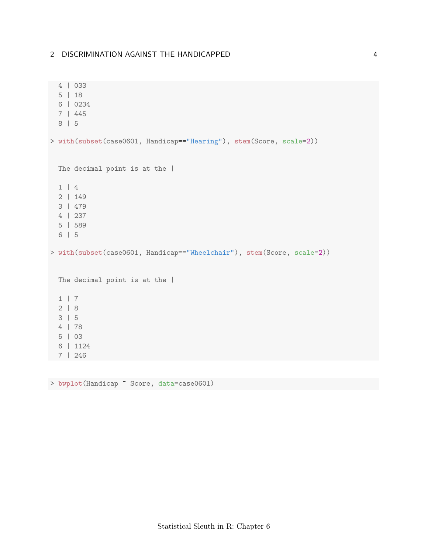```
4 | 033
 5 | 18
 6 | 0234
 7 | 445
 8 | 5
> with(subset(case0601, Handicap=="Hearing"), stem(Score, scale=2))
 The decimal point is at the |1 | 4
 2 | 149
 3 | 479
 4 | 237
 5 | 589
 6 | 5
> with(subset(case0601, Handicap=="Wheelchair"), stem(Score, scale=2))
 The decimal point is at the |1 | 7
 2 | 8
 3 | 5
 4 | 78
 5 | 03
 6 | 1124
7 | 246
```
> bwplot(Handicap ~ Score, data=case0601)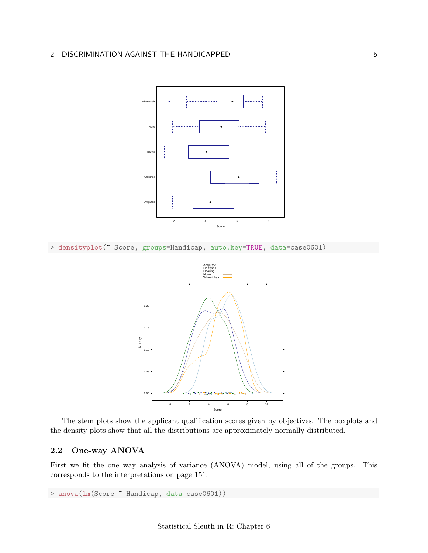

> densityplot(~ Score, groups=Handicap, auto.key=TRUE, data=case0601)



The stem plots show the applicant qualification scores given by objectives. The boxplots and the density plots show that all the distributions are approximately normally distributed.

## <span id="page-4-0"></span>2.2 One-way ANOVA

First we fit the one way analysis of variance (ANOVA) model, using all of the groups. This corresponds to the interpretations on page 151.

> anova(lm(Score ~ Handicap, data=case0601))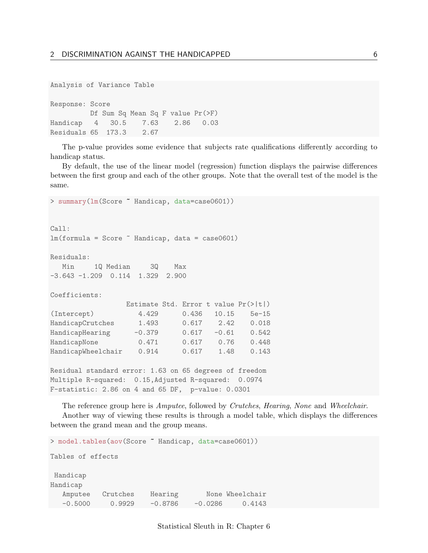```
Analysis of Variance Table
```
Response: Score Df Sum Sq Mean Sq F value Pr(>F) Handicap 4 30.5 7.63 2.86 0.03 Residuals 65 173.3 2.67

The p-value provides some evidence that subjects rate qualifications differently according to handicap status.

By default, the use of the linear model (regression) function displays the pairwise differences between the first group and each of the other groups. Note that the overall test of the model is the same.

```
> summary(lm(Score ~ Handicap, data=case0601))
Call:
lm(formula = Score Methi Handicap, data = case0601)Residuals:
  Min 1Q Median 3Q Max
-3.643 -1.209 0.114 1.329 2.900
Coefficients:
                Estimate Std. Error t value Pr(>|t|)
(Intercept) 4.429 0.436 10.15 5e-15
HandicapCrutches 1.493 0.617 2.42 0.018
HandicapHearing -0.379 0.617 -0.61 0.542
HandicapNone 0.471 0.617 0.76 0.448
HandicapWheelchair 0.914 0.617 1.48 0.143
Residual standard error: 1.63 on 65 degrees of freedom
Multiple R-squared: 0.15,Adjusted R-squared: 0.0974
F-statistic: 2.86 on 4 and 65 DF, p-value: 0.0301
```
The reference group here is Amputee, followed by Crutches, Hearing, None and Wheelchair. Another way of viewing these results is through a model table, which displays the differences between the grand mean and the group means.

```
> model.tables(aov(Score ~ Handicap, data=case0601))
Tables of effects
Handicap
Handicap
  Amputee Crutches Hearing None-Wheelchair
  -0.5000 0.9929 -0.8786 -0.0286 0.4143
```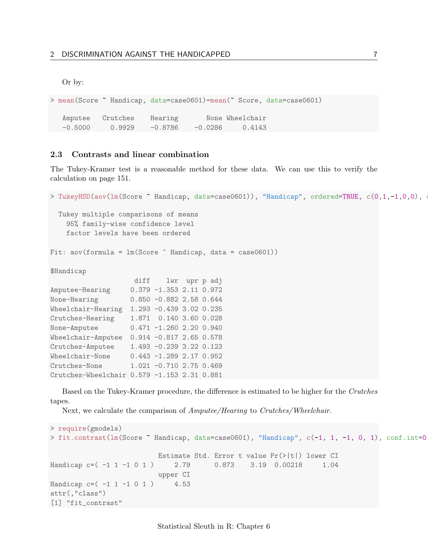Or by:

```
> mean(Score ~ Handicap, data=case0601)-mean(~ Score, data=case0601)
  Amputee Crutches Hearing Mone-Wheelchair
  -0.5000 0.9929 -0.8786 -0.0286 0.4143
```
## <span id="page-6-0"></span>2.3 Contrasts and linear combination

The Tukey-Kramer test is a reasonable method for these data. We can use this to verify the calculation on page 151.

```
> TukeyHSD(aov(lm(Score ~ Handicap, data=case0601)), "Handicap", ordered=TRUE, c(0,1,-1,0,0),
 Tukey multiple comparisons of means
   95% family-wise confidence level
   factor levels have been ordered
Fit: aov(formula = lm(Score "Handicap, data = case0601))$Handicap
                   diff lwr upr p adj
Amputee-Hearing 0.379 -1.353 2.11 0.972
None-Hearing 0.850 -0.882 2.58 0.644
Wheelchair-Hearing 1.293 -0.439 3.02 0.235
Crutches-Hearing 1.871 0.140 3.60 0.028
None-Amputee 0.471 -1.260 2.20 0.940
Wheelchair-Amputee 0.914 -0.817 2.65 0.578
Crutches-Amputee 1.493 -0.239 3.22 0.123
Wheelchair-None 0.443 -1.289 2.17 0.952
Crutches-None 1.021 -0.710 2.75 0.469
Crutches-Wheelchair 0.579 -1.153 2.31 0.881
```
Based on the Tukey-Kramer procedure, the difference is estimated to be higher for the Crutches tapes.

Next, we calculate the comparison of *Amputee/Hearing* to *Crutches/Wheelchair.* 

```
> require(gmodels)
> fit.contrast(lm(Score ~ Handicap, data=case0601), "Handicap", c(-1, 1, -1, 0, 1), conf.int=0.
                          Estimate Std. Error t value Pr(>|t|) lower CI
Handicap c=( -1 1 -1 0 1) 2.79 0.873 3.19 0.00218 1.04
                          upper CI
Handicap c = (-1 \ 1 \ -1 \ 0 \ 1) 4.53
attr(,"class")
[1] "fit_contrast"
```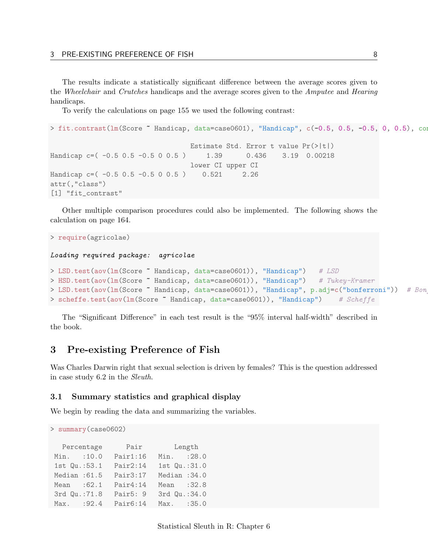The results indicate a statistically significant difference between the average scores given to the Wheelchair and Crutches handicaps and the average scores given to the Amputee and Hearing handicaps.

To verify the calculations on page 155 we used the following contrast:

```
> fit.contrast(lm(Score ~ Handicap, data=case0601), "Handicap", c(-0.5, 0.5, -0.5, 0, 0.5), con
                                  Estimate Std. Error t value Pr(>|t|)
Handicap c=( -0.5 0.5 -0.5 0 0.5) 1.39 0.436 3.19 0.00218
                                  lower CI upper CI
Handicap c = (-0.5 \ 0.5 \ -0.5 \ 0 \ 0.5) 0.521 2.26
attr(,"class")
[1] "fit_contrast"
```
Other multiple comparison procedures could also be implemented. The following shows the calculation on page 164.

```
> require(agricolae)
Loading required package: agricolae
> LSD.test(aov(1m(Score ~ Handicap, data=case0601)), "Handicap") # LSD
> HSD.test(aov(1m(Score ~ Handicap, data=case0601)), "Handicap") # Tukey-Kramer
> LSD.test(aov(lm(Score ~ Handicap, data=case0601)), "Handicap", p.adj=c("bonferroni")) # Bon
> scheffe.test(aov(lm(Score "Handicap, data=case0601)), "Handicap") # Scheffe
```
The "Significant Difference" in each test result is the "95% interval half-width" described in the book.

# <span id="page-7-0"></span>3 Pre-existing Preference of Fish

Was Charles Darwin right that sexual selection is driven by females? This is the question addressed in case study 6.2 in the Sleuth.

#### <span id="page-7-1"></span>3.1 Summary statistics and graphical display

We begin by reading the data and summarizing the variables.

```
> summary(case0602)
```

|               | Percentage |          | Pair Length   |  |  |  |
|---------------|------------|----------|---------------|--|--|--|
| Min. : 10.0   |            | Pair1:16 | Min. : 28.0   |  |  |  |
| 1st Qu.:53.1  |            | Pair2:14 | 1st Qu.:31.0  |  |  |  |
| Median: 61.5  |            | Pair3:17 | Median: 34.0  |  |  |  |
| Mean : 62.1   |            | Pair4:14 | Mean : 32.8   |  |  |  |
| 3rd Qu.: 71.8 |            | Pair5: 9 | 3rd Qu.: 34.0 |  |  |  |
| Max. : 92.4   |            | Pair6:14 | Max. : 35.0   |  |  |  |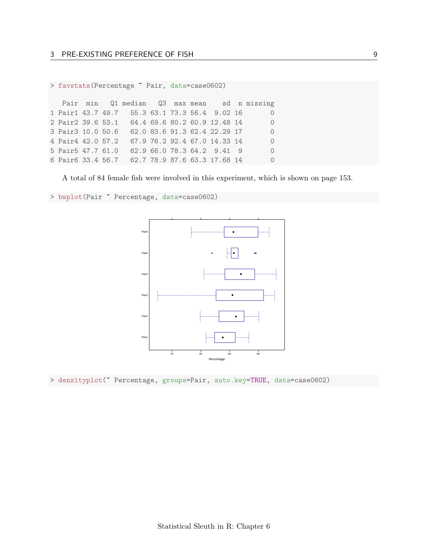```
> favstats(Percentage ~ Pair, data=case0602)
```
Pair min Q1 median Q3 max mean sd n missing 1 Pair1 43.7 49.7 55.3 63.1 73.3 56.4 9.02 16 0 2 Pair2 39.6 53.1 64.4 69.6 80.2 60.9 12.48 14 0 3 Pair3 10.0 50.6 62.0 83.6 91.3 62.4 22.29 17 0 4 Pair4 42.0 57.2 67.9 76.2 92.4 67.0 14.33 14 0 5 Pair5 47.7 61.0 62.9 66.0 78.3 64.2 9.41 9 0 6 Pair6 33.4 56.7 62.7 78.9 87.6 63.3 17.68 14 0

A total of 84 female fish were involved in this experiment, which is shown on page 153.

> bwplot(Pair ~ Percentage, data=case0602)



> densityplot(~ Percentage, groups=Pair, auto.key=TRUE, data=case0602)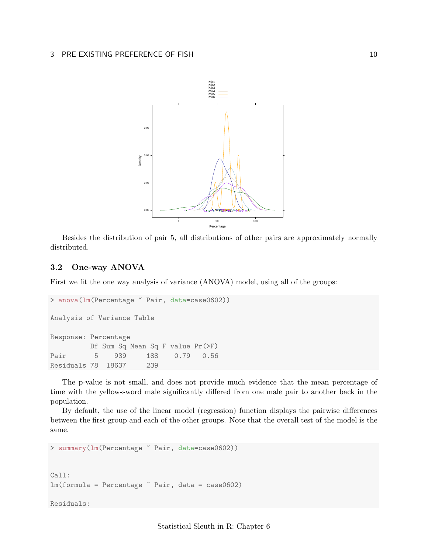

Besides the distribution of pair 5, all distributions of other pairs are approximately normally distributed.

#### <span id="page-9-0"></span>3.2 One-way ANOVA

First we fit the one way analysis of variance (ANOVA) model, using all of the groups:

```
> anova(lm(Percentage ~ Pair, data=case0602))
Analysis of Variance Table
Response: Percentage
         Df Sum Sq Mean Sq F value Pr(>F)
Pair 5 939 188 0.79 0.56
Residuals 78 18637 239
```
The p-value is not small, and does not provide much evidence that the mean percentage of time with the yellow-sword male significantly differed from one male pair to another back in the population.

By default, the use of the linear model (regression) function displays the pairwise differences between the first group and each of the other groups. Note that the overall test of the model is the same.

```
> summary(lm(Percentage ~ Pair, data=case0602))
Call:
lm(formula = Percentage \text{'} Pair, data = case0602)Residuals:
```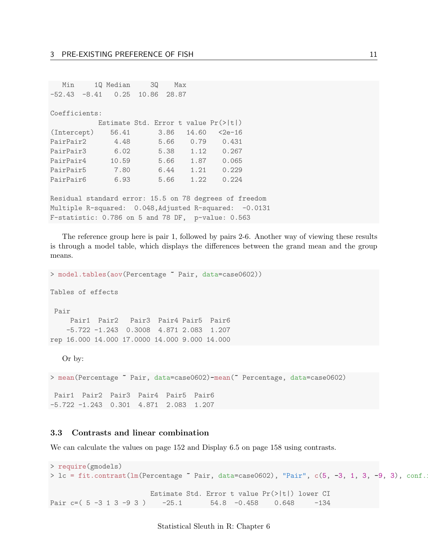| Min                                                    |  | 1Q Median 3Q                                     |  |      | Max |       |                 |  |  |
|--------------------------------------------------------|--|--------------------------------------------------|--|------|-----|-------|-----------------|--|--|
| $-52.43 -8.41$ 0.25 10.86 28.87                        |  |                                                  |  |      |     |       |                 |  |  |
|                                                        |  |                                                  |  |      |     |       |                 |  |  |
| Coefficients:                                          |  |                                                  |  |      |     |       |                 |  |  |
|                                                        |  | Estimate Std. Error t value $Pr(>\vert t \vert)$ |  |      |     |       |                 |  |  |
| (Intercept)                                            |  | 56.41                                            |  | 3.86 |     | 14.60 | $2e-16$         |  |  |
| PairPair2                                              |  | 4.48                                             |  | 5.66 |     | 0.79  | 0.431           |  |  |
| PairPair3                                              |  | 6.02                                             |  |      |     |       | 5.38 1.12 0.267 |  |  |
| PairPair4 10.59                                        |  |                                                  |  |      |     |       | 5.66 1.87 0.065 |  |  |
| PairPair5 7.80                                         |  |                                                  |  |      |     |       | 6.44 1.21 0.229 |  |  |
| PairPair6                                              |  | 6.93                                             |  | 5.66 |     | 1.22  | 0.224           |  |  |
|                                                        |  |                                                  |  |      |     |       |                 |  |  |
| Residual standard error: 15.5 on 78 degrees of freedom |  |                                                  |  |      |     |       |                 |  |  |
| Multiple R-squared: 0.048, Adjusted R-squared: -0.0131 |  |                                                  |  |      |     |       |                 |  |  |

F-statistic: 0.786 on 5 and 78 DF, p-value: 0.563

The reference group here is pair 1, followed by pairs 2-6. Another way of viewing these results is through a model table, which displays the differences between the grand mean and the group means.

> model.tables(aov(Percentage ~ Pair, data=case0602)) Tables of effects Pair Pair1 Pair2 Pair3 Pair4 Pair5 Pair6 -5.722 -1.243 0.3008 4.871 2.083 1.207 rep 16.000 14.000 17.0000 14.000 9.000 14.000 Or by: > mean(Percentage ~ Pair, data=case0602)-mean(~ Percentage, data=case0602) Pair1 Pair2 Pair3 Pair4 Pair5 Pair6 -5.722 -1.243 0.301 4.871 2.083 1.207

## <span id="page-10-0"></span>3.3 Contrasts and linear combination

We can calculate the values on page 152 and Display 6.5 on page 158 using contrasts.

```
> require(gmodels)
> lc = fit.contrast(lm(Percentage ~ Pair, data=case0602), "Pair", c(5, -3, 1, 3, -9, 3), conf.
                       Estimate Std. Error t value Pr(>|t|) lower CI
Pair c=( 5 -3 1 3 -9 3 ) -25.1 54.8 -0.458 0.648 -134
```